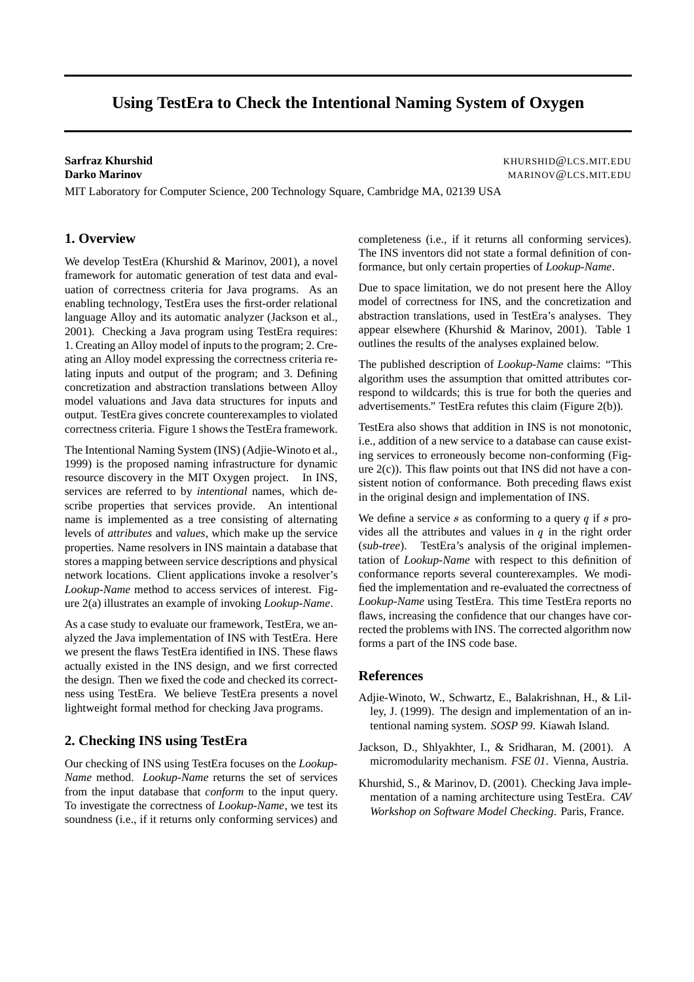# **Using TestEra to Check the Intentional Naming System of Oxygen**

**Sarfraz Khurshid** KHURSHID@LCS.MIT.EDU **Darko Marinov** MARINOV@LCS.MIT.EDU

MIT Laboratory for Computer Science, 200 Technology Square, Cambridge MA, 02139 USA

### **1. Overview**

We develop TestEra (Khurshid & Marinov, 2001), a novel framework for automatic generation of test data and evaluation of correctness criteria for Java programs. As an enabling technology, TestEra uses the first-order relational language Alloy and its automatic analyzer (Jackson et al., 2001). Checking a Java program using TestEra requires: 1. Creating an Alloy model of inputs to the program; 2. Creating an Alloy model expressing the correctness criteria relating inputs and output of the program; and 3. Defining concretization and abstraction translations between Alloy model valuations and Java data structures for inputs and output. TestEra gives concrete counterexamples to violated correctness criteria. Figure 1 shows the TestEra framework.

The Intentional Naming System (INS) (Adjie-Winoto et al., 1999) is the proposed naming infrastructure for dynamic resource discovery in the MIT Oxygen project. In INS, services are referred to by *intentional* names, which describe properties that services provide. An intentional name is implemented as a tree consisting of alternating levels of *attributes* and *values*, which make up the service properties. Name resolvers in INS maintain a database that stores a mapping between service descriptions and physical network locations. Client applications invoke a resolver's *Lookup-Name* method to access services of interest. Figure 2(a) illustrates an example of invoking *Lookup-Name*.

As a case study to evaluate our framework, TestEra, we analyzed the Java implementation of INS with TestEra. Here we present the flaws TestEra identified in INS. These flaws actually existed in the INS design, and we first corrected the design. Then we fixed the code and checked its correctness using TestEra. We believe TestEra presents a novel lightweight formal method for checking Java programs.

## **2. Checking INS using TestEra**

Our checking of INS using TestEra focuses on the *Lookup-Name* method. *Lookup-Name* returns the set of services from the input database that *conform* to the input query. To investigate the correctness of *Lookup-Name*, we test its soundness (i.e., if it returns only conforming services) and completeness (i.e., if it returns all conforming services). The INS inventors did not state a formal definition of conformance, but only certain properties of *Lookup-Name*.

Due to space limitation, we do not present here the Alloy model of correctness for INS, and the concretization and abstraction translations, used in TestEra's analyses. They appear elsewhere (Khurshid & Marinov, 2001). Table 1 outlines the results of the analyses explained below.

The published description of *Lookup-Name* claims: "This algorithm uses the assumption that omitted attributes correspond to wildcards; this is true for both the queries and advertisements." TestEra refutes this claim (Figure 2(b)).

TestEra also shows that addition in INS is not monotonic, i.e., addition of a new service to a database can cause existing services to erroneously become non-conforming (Figure  $2(c)$ ). This flaw points out that INS did not have a consistent notion of conformance. Both preceding flaws exist in the original design and implementation of INS.

We define a service  $s$  as conforming to a query  $q$  if  $s$  provides all the attributes and values in  $q$  in the right order (*sub-tree*). TestEra's analysis of the original implementation of *Lookup-Name* with respect to this definition of conformance reports several counterexamples. We modified the implementation and re-evaluated the correctness of *Lookup-Name* using TestEra. This time TestEra reports no flaws, increasing the confidence that our changes have corrected the problems with INS. The corrected algorithm now forms a part of the INS code base.

#### **References**

- Adjie-Winoto, W., Schwartz, E., Balakrishnan, H., & Lilley, J. (1999). The design and implementation of an intentional naming system. *SOSP 99*. Kiawah Island.
- Jackson, D., Shlyakhter, I., & Sridharan, M. (2001). A micromodularity mechanism. *FSE 01*. Vienna, Austria.
- Khurshid, S., & Marinov, D. (2001). Checking Java implementation of a naming architecture using TestEra. *CAV Workshop on Software Model Checking*. Paris, France.